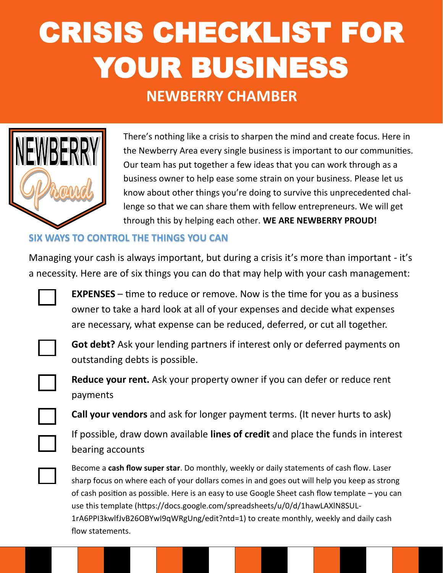# CRISIS CHECKLIST FOR YOUR BUSINESS

#### **NEWBERRY CHAMBER**



There's nothing like a crisis to sharpen the mind and create focus. Here in the Newberry Area every single business is important to our communities. Our team has put together a few ideas that you can work through as a business owner to help ease some strain on your business. Please let us know about other things you're doing to survive this unprecedented challenge so that we can share them with fellow entrepreneurs. We will get through this by helping each other. **WE ARE NEWBERRY PROUD!**

#### **SIX WAYS TO CONTROL THE THINGS YOU CAN**

Managing your cash is always important, but during a crisis it's more than important - it's a necessity. Here are of six things you can do that may help with your cash management:



**EXPENSES** – time to reduce or remove. Now is the time for you as a business owner to take a hard look at all of your expenses and decide what expenses are necessary, what expense can be reduced, deferred, or cut all together.

**Got debt?** Ask your lending partners if interest only or deferred payments on outstanding debts is possible.



**Reduce your rent.** Ask your property owner if you can defer or reduce rent payments

**Call your vendors** and ask for longer payment terms. (It never hurts to ask)

If possible, draw down available **lines of credit** and place the funds in interest bearing accounts



Become a **cash flow super star**. Do monthly, weekly or daily statements of cash flow. Laser sharp focus on where each of your dollars comes in and goes out will help you keep as strong of cash position as possible. Here is an easy to use Google Sheet cash flow template – you can use this template (https://docs.google.com/spreadsheets/u/0/d/1hawLAXlN8SUL-1rA6PPI3kwlfJvB26OBYwI9qWRgUng/edit?ntd=1) to create monthly, weekly and daily cash flow statements.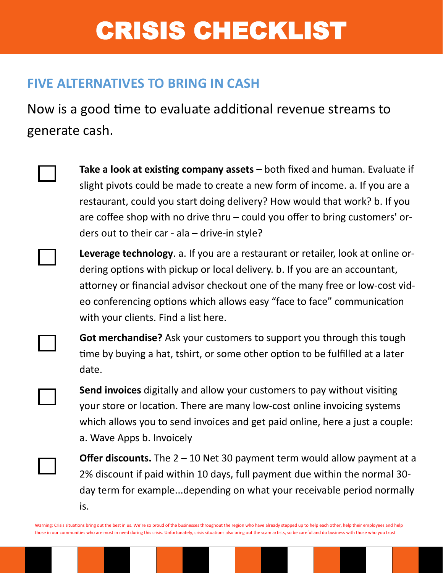## CRISIS CHECKLIST

#### **FIVE ALTERNATIVES TO BRING IN CASH**

Now is a good time to evaluate additional revenue streams to generate cash.

- **Take a look at existing company assets**  both fixed and human. Evaluate if slight pivots could be made to create a new form of income. a. If you are a restaurant, could you start doing delivery? How would that work? b. If you are coffee shop with no drive thru – could you offer to bring customers' orders out to their car - ala – drive-in style?
	- **Leverage technology**. a. If you are a restaurant or retailer, look at online ordering options with pickup or local delivery. b. If you are an accountant, attorney or financial advisor checkout one of the many free or low-cost video conferencing options which allows easy "face to face" communication with your clients. Find a list here.



**Got merchandise?** Ask your customers to support you through this tough time by buying a hat, tshirt, or some other option to be fulfilled at a later date.

**Send invoices** digitally and allow your customers to pay without visiting your store or location. There are many low-cost online invoicing systems which allows you to send invoices and get paid online, here a just a couple: a. Wave Apps b. Invoicely

**Offer discounts.** The 2 – 10 Net 30 payment term would allow payment at a 2% discount if paid within 10 days, full payment due within the normal 30 day term for example...depending on what your receivable period normally is.

Warning: Crisis situations bring out the best in us. We're so proud of the businesses throughout the region who have already stepped up to help each other, help their employees and help those in our communities who are most in need during this crisis. Unfortunately, crisis situations also bring out the scam artists, so be careful and do business with those who you trust